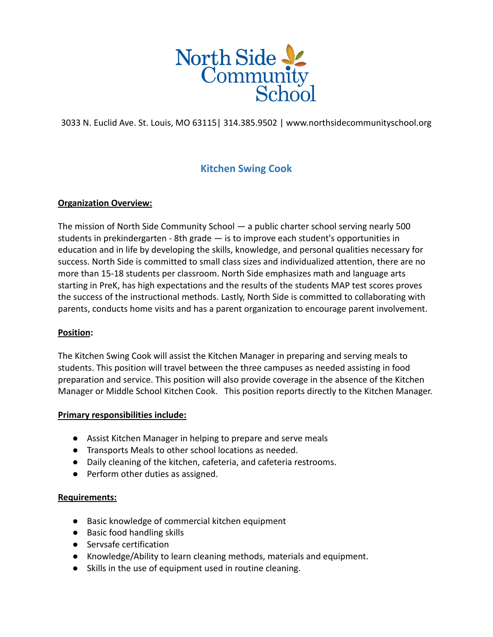

3033 N. Euclid Ave. St. Louis, MO 63115| 314.385.9502 | www.northsidecommunityschool.org

# **Kitchen Swing Cook**

# **Organization Overview:**

The mission of North Side Community School — a public charter school serving nearly 500 students in prekindergarten - 8th grade — is to improve each student's opportunities in education and in life by developing the skills, knowledge, and personal qualities necessary for success. North Side is committed to small class sizes and individualized attention, there are no more than 15-18 students per classroom. North Side emphasizes math and language arts starting in PreK, has high expectations and the results of the students MAP test scores proves the success of the instructional methods. Lastly, North Side is committed to collaborating with parents, conducts home visits and has a parent organization to encourage parent involvement.

### **Position:**

The Kitchen Swing Cook will assist the Kitchen Manager in preparing and serving meals to students. This position will travel between the three campuses as needed assisting in food preparation and service. This position will also provide coverage in the absence of the Kitchen Manager or Middle School Kitchen Cook. This position reports directly to the Kitchen Manager.

### **Primary responsibilities include:**

- Assist Kitchen Manager in helping to prepare and serve meals
- Transports Meals to other school locations as needed.
- Daily cleaning of the kitchen, cafeteria, and cafeteria restrooms.
- Perform other duties as assigned.

### **Requirements:**

- Basic knowledge of commercial kitchen equipment
- Basic food handling skills
- Servsafe certification
- Knowledge/Ability to learn cleaning methods, materials and equipment.
- Skills in the use of equipment used in routine cleaning.